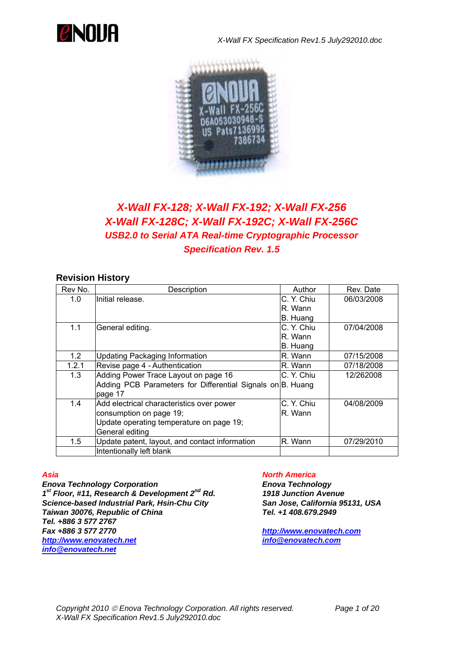

*X-Wall FX Specification Rev1.5 July292010.doc*



# *X-Wall FX-128; X-Wall FX-192; X-Wall FX-256 X-Wall FX-128C; X-Wall FX-192C; X-Wall FX-256C USB2.0 to Serial ATA Real-time Cryptographic Processor Specification Rev. 1.5*

## **Revision History**

| Rev No. | Description                                                | Author     | Rev. Date  |
|---------|------------------------------------------------------------|------------|------------|
| 1.0     | Initial release.                                           | C. Y. Chiu | 06/03/2008 |
|         |                                                            | R. Wann    |            |
|         |                                                            | B. Huang   |            |
| 1.1     | General editing.                                           | C. Y. Chiu | 07/04/2008 |
|         |                                                            | R. Wann    |            |
|         |                                                            | B. Huang   |            |
| 1.2     | <b>Updating Packaging Information</b>                      | R. Wann    | 07/15/2008 |
| 1.2.1   | Revise page 4 - Authentication                             | R. Wann    | 07/18/2008 |
| 1.3     | Adding Power Trace Layout on page 16                       | C. Y. Chiu | 12/262008  |
|         | Adding PCB Parameters for Differential Signals on B. Huang |            |            |
|         | page 17                                                    |            |            |
| 1.4     | Add electrical characteristics over power                  | C. Y. Chiu | 04/08/2009 |
|         | consumption on page 19;                                    | R. Wann    |            |
|         | Update operating temperature on page 19;                   |            |            |
|         | General editing                                            |            |            |
| 1.5     | Update patent, layout, and contact information             | R. Wann    | 07/29/2010 |
|         | Intentionally left blank                                   |            |            |

*Enova Technology Corporation Enova Technology 1st Floor, #11, Research & Development 2nd Rd. 1918 Junction Avenue Science-based Industrial Park, Hsin-Chu City San Jose, California 95131, USA Taiwan 30076, Republic of China Tel. +1 408.679.2949 Tel. +886 3 577 2767 Fax +886 3 577 2770 http://www.enovatech.com [http://www.enovatech.net](http://www.enovatech.net/) [info@enovatech.com](mailto:info@enovatech.com) [info@enovatech.net](mailto:info@enovatech.net)*

### *Asia North America*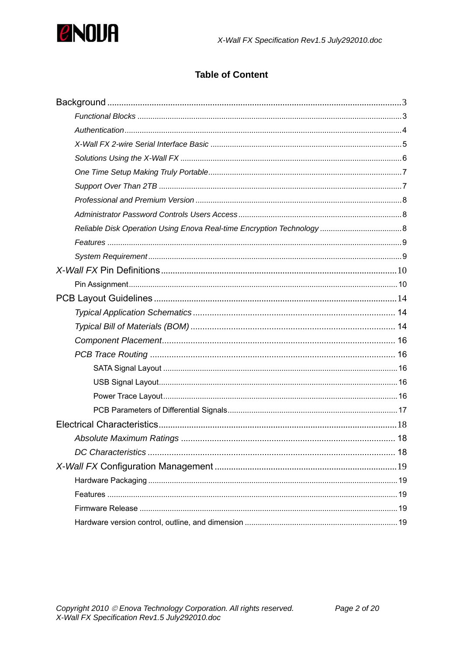

# **Table of Content**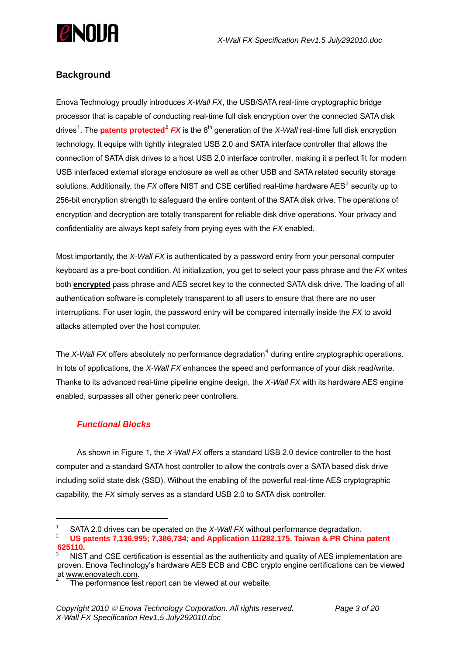<span id="page-2-0"></span>

## **Background**

Enova Technology proudly introduces *X-Wall FX*, the USB/SATA real-time cryptographic bridge processor that is capable of conducting real-time full disk encryption over the connected SATA disk drives<sup>[1](#page-2-1)</sup>. The **patents protected<sup>[2](#page-2-2)</sup> FX</mark>** is the 8<sup>th</sup> generation of the *X-Wall* real-time full disk encryption technology. It equips with tightly integrated USB 2.0 and SATA interface controller that allows the connection of SATA disk drives to a host USB 2.0 interface controller, making it a perfect fit for modern USB interfaced external storage enclosure as well as other USB and SATA related security storage solutions. Additionally, the *FX* offers NIST and CSE certified real-time hardware AES $^3$  $^3$  security up to 256-bit encryption strength to safeguard the entire content of the SATA disk drive. The operations of encryption and decryption are totally transparent for reliable disk drive operations. Your privacy and confidentiality are always kept safely from prying eyes with the *FX* enabled.

Most importantly, the *X-Wall FX* is authenticated by a password entry from your personal computer keyboard as a pre-boot condition. At initialization, you get to select your pass phrase and the *FX* writes both **encrypted** pass phrase and AES secret key to the connected SATA disk drive. The loading of all authentication software is completely transparent to all users to ensure that there are no user interruptions. For user login, the password entry will be compared internally inside the *FX* to avoid attacks attempted over the host computer.

The *X-Wall FX* offers absolutely no performance degradation<sup>[4](#page-2-4)</sup> during entire cryptographic operations. In lots of applications, the *X-Wall FX* enhances the speed and performance of your disk read/write. Thanks to its advanced real-time pipeline engine design, the *X-Wall FX* with its hardware AES engine enabled, surpasses all other generic peer controllers.

### *Functional Blocks*

As shown in Figure 1, the *X-Wall FX* offers a standard USB 2.0 device controller to the host computer and a standard SATA host controller to allow the controls over a SATA based disk drive including solid state disk (SSD). Without the enabling of the powerful real-time AES cryptographic capability, the *FX* simply serves as a standard USB 2.0 to SATA disk controller.

 $\overline{a}$ 

<span id="page-2-1"></span><sup>1</sup> SATA 2.0 drives can be operated on the *X-Wall FX* without performance degradation.  $\overline{2}$  **US patents 7,136,995; 7,386,734; and Application 11/282,175. Taiwan & PR China patent** 

<span id="page-2-2"></span>**<sup>625110.</sup>** 

<span id="page-2-3"></span><sup>3</sup> NIST and CSE certification is essential as the authenticity and quality of AES implementation are proven. Enova Technology's hardware AES ECB and CBC crypto engine certifications can be viewed at [www.enovatech.com.](http://www.enovatech.com/) 4

<span id="page-2-4"></span>The performance test report can be viewed at our website.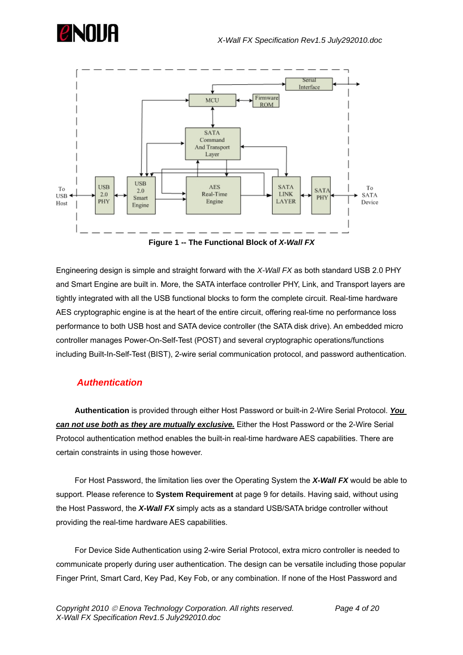<span id="page-3-0"></span>



Engineering design is simple and straight forward with the *X-Wall FX* as both standard USB 2.0 PHY and Smart Engine are built in. More, the SATA interface controller PHY, Link, and Transport layers are tightly integrated with all the USB functional blocks to form the complete circuit. Real-time hardware AES cryptographic engine is at the heart of the entire circuit, offering real-time no performance loss performance to both USB host and SATA device controller (the SATA disk drive). An embedded micro controller manages Power-On-Self-Test (POST) and several cryptographic operations/functions including Built-In-Self-Test (BIST), 2-wire serial communication protocol, and password authentication.

### *Authentication*

 **Authentication** is provided through either Host Password or built-in 2-Wire Serial Protocol. *You can not use both as they are mutually exclusive.* Either the Host Password or the 2-Wire Serial Protocol authentication method enables the built-in real-time hardware AES capabilities. There are certain constraints in using those however.

 For Host Password, the limitation lies over the Operating System the *X-Wall FX* would be able to support. Please reference to **System Requirement** at page 9 for details. Having said, without using the Host Password, the *X-Wall FX* simply acts as a standard USB/SATA bridge controller without providing the real-time hardware AES capabilities.

 For Device Side Authentication using 2-wire Serial Protocol, extra micro controller is needed to communicate properly during user authentication. The design can be versatile including those popular Finger Print, Smart Card, Key Pad, Key Fob, or any combination. If none of the Host Password and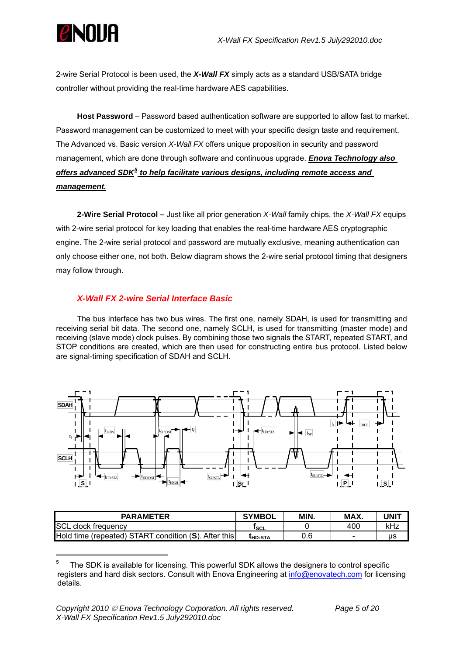<span id="page-4-0"></span>

2-wire Serial Protocol is been used, the *X-Wall FX* simply acts as a standard USB/SATA bridge controller without providing the real-time hardware AES capabilities.

**Host Password** – Password based authentication software are supported to allow fast to market. Password management can be customized to meet with your specific design taste and requirement. The Advanced vs. Basic version *X-Wall FX* offers unique proposition in security and password management, which are done through software and continuous upgrade. *Enova Technology also offers advanced SDK[5](#page-4-1) to help facilitate various designs, including remote access and management.*

**2-Wire Serial Protocol –** Just like all prior generation *X-Wall* family chips, the *X-Wall FX* equips with 2-wire serial protocol for key loading that enables the real-time hardware AES cryptographic engine. The 2-wire serial protocol and password are mutually exclusive, meaning authentication can only choose either one, not both. Below diagram shows the 2-wire serial protocol timing that designers may follow through.

### *X-Wall FX 2-wire Serial Interface Basic*

The bus interface has two bus wires. The first one, namely SDAH, is used for transmitting and receiving serial bit data. The second one, namely SCLH, is used for transmitting (master mode) and receiving (slave mode) clock pulses. By combining those two signals the START, repeated START, and STOP conditions are created, which are then used for constructing entire bus protocol. Listed below are signal-timing specification of SDAH and SCLH.



| <b>PARAMETER</b>                                     | <b>SYMBOL</b>             | MIN. | MAX. | UNIT |
|------------------------------------------------------|---------------------------|------|------|------|
| <b>SCL clock frequency</b>                           | <sup>1</sup> SCL          |      | 400  | kHz  |
| Hold time (repeated) START condition (S). After this | <b><sup>L</sup>HD:STA</b> | 0.6  | -    | us   |

<span id="page-4-1"></span><sup>5</sup> The SDK is available for licensing. This powerful SDK allows the designers to control specific registers and hard disk sectors. Consult with Enova Engineering at [info@enovatech.com](mailto:info@enovatech.com) for licensing details.

 $\overline{a}$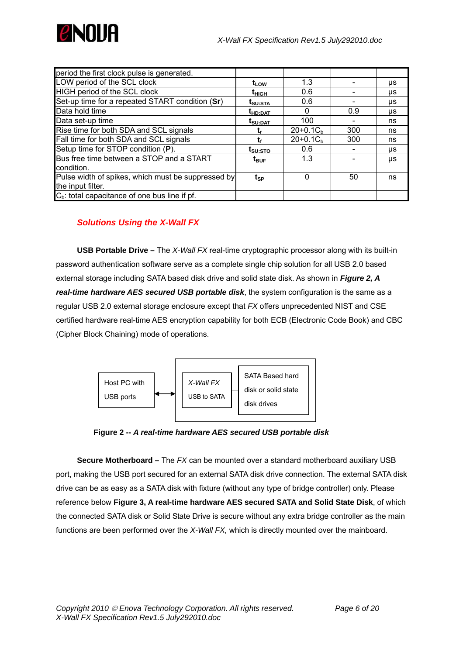<span id="page-5-0"></span>

| period the first clock pulse is generated.         |                                 |            |     |    |
|----------------------------------------------------|---------------------------------|------------|-----|----|
| LOW period of the SCL clock                        | t <sub>LOW</sub>                | 1.3        |     | μs |
| HIGH period of the SCL clock                       | t <sub>нісн</sub>               | 0.6        |     | μs |
| Set-up time for a repeated START condition (Sr)    | t <sub>su:Sta</sub>             | 0.6        |     | μs |
| Data hold time                                     | t <sub>HD:DAT</sub>             |            | 0.9 | μs |
| Data set-up time                                   | $t_{\scriptstyle\text{SU:DAT}}$ | 100        |     | ns |
| Rise time for both SDA and SCL signals             |                                 | $20+0.1Cb$ | 300 | ns |
| Fall time for both SDA and SCL signals             |                                 | $20+0.1Cb$ | 300 | ns |
| Setup time for STOP condition (P).                 | t <sub>su:STO</sub>             | 0.6        |     | μs |
| Bus free time between a STOP and a START           | $t_{\text{BUF}}$                | 1.3        |     | μs |
| condition.                                         |                                 |            |     |    |
| Pulse width of spikes, which must be suppressed by | tsp                             |            | 50  | ns |
| the input filter.                                  |                                 |            |     |    |
| $Cb$ : total capacitance of one bus line if pf.    |                                 |            |     |    |

## *Solutions Using the X-Wall FX*

**USB Portable Drive –** The *X-Wall FX* real-time cryptographic processor along with its built-in password authentication software serve as a complete single chip solution for all USB 2.0 based external storage including SATA based disk drive and solid state disk. As shown in *Figure 2, A real-time hardware AES secured USB portable disk*, the system configuration is the same as a regular USB 2.0 external storage enclosure except that *FX* offers unprecedented NIST and CSE certified hardware real-time AES encryption capability for both ECB (Electronic Code Book) and CBC (Cipher Block Chaining) mode of operations.



 **Figure 2 --** *A real-time hardware AES secured USB portable disk* 

**Secure Motherboard –** The *FX* can be mounted over a standard motherboard auxiliary USB port, making the USB port secured for an external SATA disk drive connection. The external SATA disk drive can be as easy as a SATA disk with fixture (without any type of bridge controller) only. Please reference below **Figure 3, A real-time hardware AES secured SATA and Solid State Disk**, of which the connected SATA disk or Solid State Drive is secure without any extra bridge controller as the main functions are been performed over the *X-Wall FX,* which is directly mounted over the mainboard.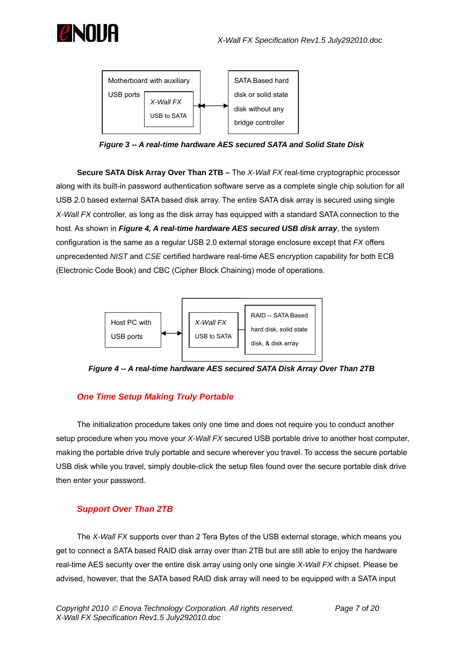<span id="page-6-0"></span>



*Figure 3 -- A real-time hardware AES secured SATA and Solid State Disk* 

**Secure SATA Disk Array Over Than 2TB –** The *X-Wall FX* real-time cryptographic processor along with its built-in password authentication software serve as a complete single chip solution for all USB 2.0 based external SATA based disk array. The entire SATA disk array is secured using single *X-Wall FX* controller, as long as the disk array has equipped with a standard SATA connection to the host. As shown in *Figure 4, A real-time hardware AES secured USB disk array*, the system configuration is the same as a regular USB 2.0 external storage enclosure except that *FX* offers unprecedented *NIST* and *CSE* certified hardware real-time AES encryption capability for both ECB (Electronic Code Book) and CBC (Cipher Block Chaining) mode of operations.



*Figure 4 -- A real-time hardware AES secured SATA Disk Array Over Than 2TB* 

## *One Time Setup Making Truly Portable*

The initialization procedure takes only one time and does not require you to conduct another setup procedure when you move your *X-Wall FX* secured USB portable drive to another host computer, making the portable drive truly portable and secure wherever you travel. To access the secure portable USB disk while you travel, simply double-click the setup files found over the secure portable disk drive then enter your password.

## *Support Over Than 2TB*

The *X-Wall FX* supports over than 2 Tera Bytes of the USB external storage, which means you get to connect a SATA based RAID disk array over than 2TB but are still able to enjoy the hardware real-time AES security over the entire disk array using only one single *X-Wall FX* chipset. Please be advised, however, that the SATA based RAID disk array will need to be equipped with a SATA input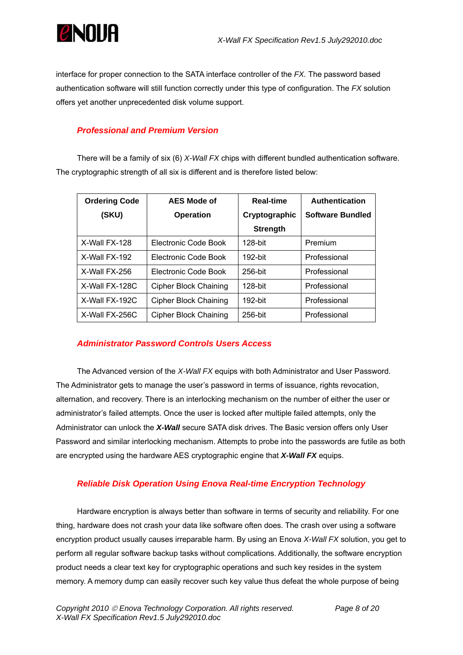<span id="page-7-0"></span>

interface for proper connection to the SATA interface controller of the *FX.* The password based authentication software will still function correctly under this type of configuration. The *FX* solution offers yet another unprecedented disk volume support.

## *Professional and Premium Version*

There will be a family of six (6) *X-Wall FX* chips with different bundled authentication software. The cryptographic strength of all six is different and is therefore listed below:

| <b>Ordering Code</b> | <b>AES Mode of</b>           | <b>Real-time</b> | <b>Authentication</b>   |
|----------------------|------------------------------|------------------|-------------------------|
| (SKU)                | <b>Operation</b>             | Cryptographic    | <b>Software Bundled</b> |
|                      |                              | <b>Strength</b>  |                         |
| X-Wall FX-128        | Electronic Code Book         | $128$ -bit       | Premium                 |
| X-Wall FX-192        | Electronic Code Book         | $192$ -bit       | Professional            |
| X-Wall FX-256        | Electronic Code Book         | $256$ -bit       | Professional            |
| X-Wall FX-128C       | <b>Cipher Block Chaining</b> | $128$ -bit       | Professional            |
| X-Wall FX-192C       | <b>Cipher Block Chaining</b> | 192-bit          | Professional            |
| X-Wall FX-256C       | Cipher Block Chaining        | 256-bit          | Professional            |

## *Administrator Password Controls Users Access*

The Advanced version of the *X-Wall FX* equips with both Administrator and User Password. The Administrator gets to manage the user's password in terms of issuance, rights revocation, alternation, and recovery. There is an interlocking mechanism on the number of either the user or administrator's failed attempts. Once the user is locked after multiple failed attempts, only the Administrator can unlock the *X-Wall* secure SATA disk drives. The Basic version offers only User Password and similar interlocking mechanism. Attempts to probe into the passwords are futile as both are encrypted using the hardware AES cryptographic engine that *X-Wall FX* equips.

## *Reliable Disk Operation Using Enova Real-time Encryption Technology*

Hardware encryption is always better than software in terms of security and reliability. For one thing, hardware does not crash your data like software often does. The crash over using a software encryption product usually causes irreparable harm. By using an Enova *X-Wall FX* solution, you get to perform all regular software backup tasks without complications. Additionally, the software encryption product needs a clear text key for cryptographic operations and such key resides in the system memory. A memory dump can easily recover such key value thus defeat the whole purpose of being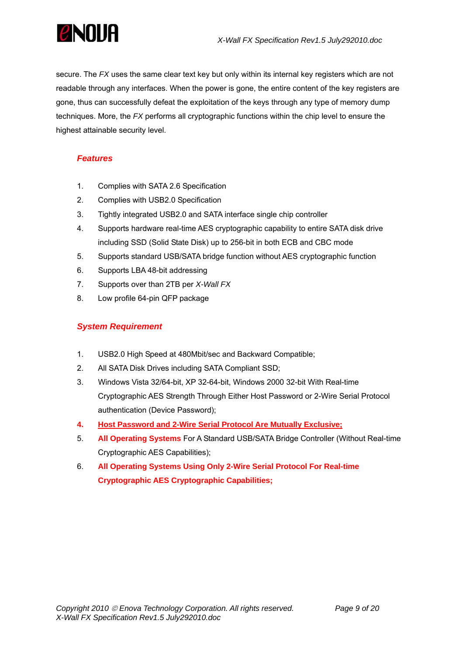<span id="page-8-0"></span>

secure. The *FX* uses the same clear text key but only within its internal key registers which are not readable through any interfaces. When the power is gone, the entire content of the key registers are gone, thus can successfully defeat the exploitation of the keys through any type of memory dump techniques. More, the *FX* performs all cryptographic functions within the chip level to ensure the highest attainable security level.

## *Features*

- 1. Complies with SATA 2.6 Specification
- 2. Complies with USB2.0 Specification
- 3. Tightly integrated USB2.0 and SATA interface single chip controller
- 4. Supports hardware real-time AES cryptographic capability to entire SATA disk drive including SSD (Solid State Disk) up to 256-bit in both ECB and CBC mode
- 5. Supports standard USB/SATA bridge function without AES cryptographic function
- 6. Supports LBA 48-bit addressing
- 7. Supports over than 2TB per *X-Wall FX*
- 8. Low profile 64-pin QFP package

## *System Requirement*

- 1. USB2.0 High Speed at 480Mbit/sec and Backward Compatible;
- 2. All SATA Disk Drives including SATA Compliant SSD;
- 3. Windows Vista 32/64-bit, XP 32-64-bit, Windows 2000 32-bit With Real-time Cryptographic AES Strength Through Either Host Password or 2-Wire Serial Protocol authentication (Device Password);
- **4. Host Password and 2-Wire Serial Protocol Are Mutually Exclusive;**
- 5. **All Operating Systems** For A Standard USB/SATA Bridge Controller (Without Real-time Cryptographic AES Capabilities);
- 6. **All Operating Systems Using Only 2-Wire Serial Protocol For Real-time Cryptographic AES Cryptographic Capabilities;**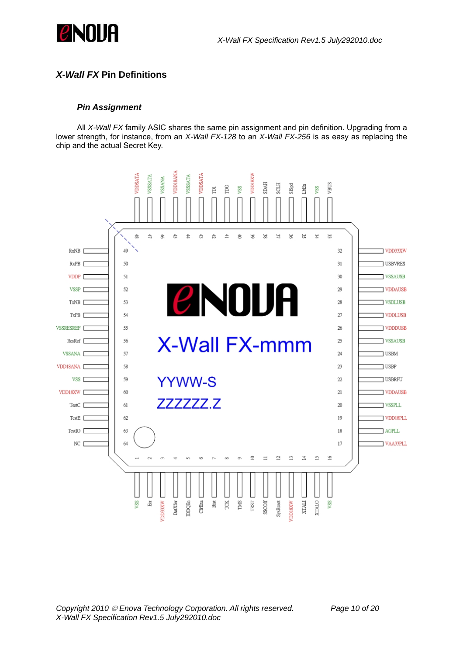<span id="page-9-0"></span>

## *X-Wall FX* **Pin Definitions**

#### *Pin Assignment*

All *X-Wall FX* family ASIC shares the same pin assignment and pin definition. Upgrading from a lower strength, for instance, from an *X-Wall FX-128* to an *X-Wall FX-256* is as easy as replacing the chip and the actual Secret Key.



*Copyright 2010* © *Enova Technology Corporation. All rights reserved. Page 10 of 20 X-Wall FX Specification Rev1.5 July292010.doc*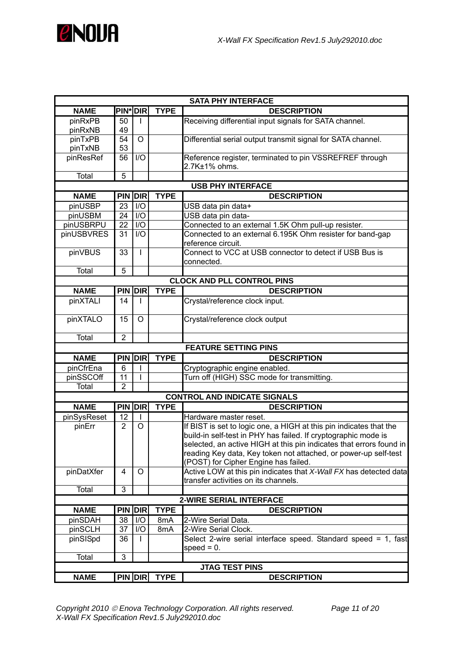

|                    | <b>SATA PHY INTERFACE</b> |            |              |                                                                                                                                                                                                                                                                                                                        |  |  |
|--------------------|---------------------------|------------|--------------|------------------------------------------------------------------------------------------------------------------------------------------------------------------------------------------------------------------------------------------------------------------------------------------------------------------------|--|--|
| <b>NAME</b>        | <b>PIN*</b> DIR           |            | <b>TYPE</b>  | <b>DESCRIPTION</b>                                                                                                                                                                                                                                                                                                     |  |  |
| pinRxPB<br>pinRxNB | 50<br>49                  | L          |              | Receiving differential input signals for SATA channel.                                                                                                                                                                                                                                                                 |  |  |
| pinTxPB<br>pinTxNB | 54<br>53                  | $\circ$    |              | Differential serial output transmit signal for SATA channel.                                                                                                                                                                                                                                                           |  |  |
| pinResRef          | 56                        | 1/O        |              | Reference register, terminated to pin VSSREFREF through<br>2.7K±1% ohms.                                                                                                                                                                                                                                               |  |  |
| <b>Total</b>       | 5                         |            |              |                                                                                                                                                                                                                                                                                                                        |  |  |
|                    |                           |            |              | <b>USB PHY INTERFACE</b>                                                                                                                                                                                                                                                                                               |  |  |
| <b>NAME</b>        | <b>PIN DIR</b>            |            | <b>TYPE</b>  | <b>DESCRIPTION</b>                                                                                                                                                                                                                                                                                                     |  |  |
| pinUSBP            | 23                        | I/O        |              | USB data pin data+                                                                                                                                                                                                                                                                                                     |  |  |
| pinUSBM            | 24                        | I/O        |              | USB data pin data-                                                                                                                                                                                                                                                                                                     |  |  |
| pinUSBRPU          | 22                        | I/O        |              | Connected to an external 1.5K Ohm pull-up resister.                                                                                                                                                                                                                                                                    |  |  |
| pinUSBVRES         | 31                        | I/O        |              | Connected to an external 6.195K Ohm resister for band-gap<br>reference circuit.                                                                                                                                                                                                                                        |  |  |
| pinVBUS            | 33                        | L          |              | Connect to VCC at USB connector to detect if USB Bus is<br>connected.                                                                                                                                                                                                                                                  |  |  |
| Total              | 5                         |            |              |                                                                                                                                                                                                                                                                                                                        |  |  |
|                    |                           |            |              | <b>CLOCK AND PLL CONTROL PINS</b>                                                                                                                                                                                                                                                                                      |  |  |
| <b>NAME</b>        | <b>PIN DIR</b>            |            | <b>TYPE</b>  | <b>DESCRIPTION</b>                                                                                                                                                                                                                                                                                                     |  |  |
| pinXTALI           | 14                        |            |              | Crystal/reference clock input.                                                                                                                                                                                                                                                                                         |  |  |
| pinXTALO           | 15                        | O          |              | Crystal/reference clock output                                                                                                                                                                                                                                                                                         |  |  |
| Total              | $\overline{2}$            |            |              |                                                                                                                                                                                                                                                                                                                        |  |  |
|                    |                           |            |              | <b>FEATURE SETTING PINS</b>                                                                                                                                                                                                                                                                                            |  |  |
| <b>NAME</b>        | <b>PIN DIR</b>            |            | <b>TYPE</b>  | <b>DESCRIPTION</b>                                                                                                                                                                                                                                                                                                     |  |  |
| pinCfrEna          | 6                         |            |              | Cryptographic engine enabled.                                                                                                                                                                                                                                                                                          |  |  |
| pinSSCOff          | 11                        | L          |              | Turn off (HIGH) SSC mode for transmitting.                                                                                                                                                                                                                                                                             |  |  |
| Total              | $\overline{2}$            |            |              |                                                                                                                                                                                                                                                                                                                        |  |  |
|                    |                           |            |              | <b>CONTROL AND INDICATE SIGNALS</b>                                                                                                                                                                                                                                                                                    |  |  |
| <b>NAME</b>        | <b>PIN DIR</b>            |            | <b>TYPE</b>  | <b>DESCRIPTION</b>                                                                                                                                                                                                                                                                                                     |  |  |
| pinSysReset        | 12                        | L          |              | Hardware master reset.                                                                                                                                                                                                                                                                                                 |  |  |
| pinErr             | $\overline{2}$            | $\circ$    |              | If BIST is set to logic one, a HIGH at this pin indicates that the<br>build-in self-test in PHY has failed. If cryptographic mode is<br>selected, an active HIGH at this pin indicates that errors found in<br>reading Key data, Key token not attached, or power-up self-test<br>(POST) for Cipher Engine has failed. |  |  |
| pinDatXfer         | 4                         | $\circ$    |              | Active LOW at this pin indicates that X-Wall FX has detected data<br>transfer activities on its channels.                                                                                                                                                                                                              |  |  |
| Total              | $\overline{3}$            |            |              |                                                                                                                                                                                                                                                                                                                        |  |  |
|                    |                           |            |              | <b>2-WIRE SERIAL INTERFACE</b>                                                                                                                                                                                                                                                                                         |  |  |
| <b>NAME</b>        | <b>PIN</b>                | <b>DIR</b> | <b>TYPE</b>  | <b>DESCRIPTION</b>                                                                                                                                                                                                                                                                                                     |  |  |
| pinSDAH            | 38                        | I/O        | 8mA          | 2-Wire Serial Data.                                                                                                                                                                                                                                                                                                    |  |  |
| pinSCLH            | 37                        | I/O        | 8mA          | 2-Wire Serial Clock.                                                                                                                                                                                                                                                                                                   |  |  |
| pinSISpd           | 36                        |            |              | Select 2-wire serial interface speed. Standard speed = 1, fast<br>$speed = 0.$                                                                                                                                                                                                                                         |  |  |
| Total              | 3                         |            |              |                                                                                                                                                                                                                                                                                                                        |  |  |
|                    |                           |            |              | <b>JTAG TEST PINS</b>                                                                                                                                                                                                                                                                                                  |  |  |
| <b>NAME</b>        |                           |            | PIN DIR TYPE | <b>DESCRIPTION</b>                                                                                                                                                                                                                                                                                                     |  |  |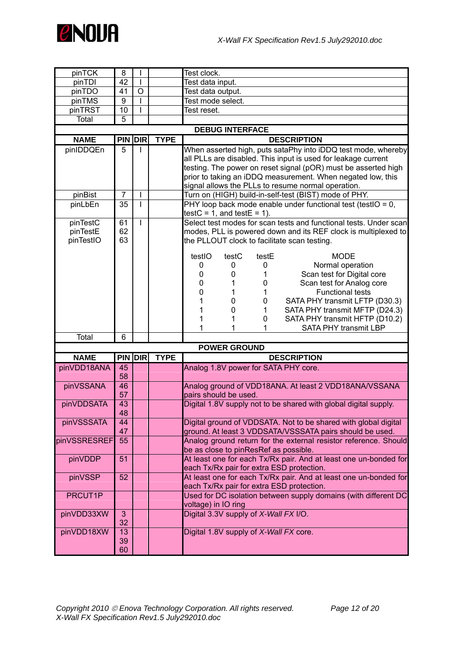

| pinTCK       | 8              |              |             | Test clock.                                                                                                  |  |  |  |
|--------------|----------------|--------------|-------------|--------------------------------------------------------------------------------------------------------------|--|--|--|
| pinTDI       | 42             | $\mathbf{I}$ |             | Test data input.                                                                                             |  |  |  |
| pinTDO       | 41             | O            |             | Test data output.                                                                                            |  |  |  |
| pinTMS       | 9              | $\mathsf{I}$ |             | Test mode select.                                                                                            |  |  |  |
| pinTRST      | 10             | I            |             | Test reset.                                                                                                  |  |  |  |
| Total        | 5              |              |             |                                                                                                              |  |  |  |
|              |                |              |             | <b>DEBUG INTERFACE</b>                                                                                       |  |  |  |
| <b>NAME</b>  | <b>PIN DIR</b> |              | <b>TYPE</b> | <b>DESCRIPTION</b>                                                                                           |  |  |  |
| pinIDDQEn    | 5              |              |             | When asserted high, puts sataPhy into iDDQ test mode, whereby                                                |  |  |  |
|              |                |              |             | all PLLs are disabled. This input is used for leakage current                                                |  |  |  |
|              |                |              |             | testing. The power on reset signal (pOR) must be asserted high                                               |  |  |  |
|              |                |              |             | prior to taking an iDDQ measurement. When negated low, this                                                  |  |  |  |
|              |                |              |             | signal allows the PLLs to resume normal operation.                                                           |  |  |  |
| pinBist      | 7              | L            |             | Turn on (HIGH) build-in-self-test (BIST) mode of PHY.                                                        |  |  |  |
| pinLbEn      | 35             | $\mathbf{I}$ |             | PHY loop back mode enable under functional test (testIO = 0,                                                 |  |  |  |
|              |                |              |             | $testC = 1$ , and $testE = 1$ ).                                                                             |  |  |  |
| pinTestC     | 61             | $\mathbf{I}$ |             | Select test modes for scan tests and functional tests. Under scan                                            |  |  |  |
| pinTestE     | 62<br>63       |              |             | modes, PLL is powered down and its REF clock is multiplexed to                                               |  |  |  |
| pinTestIO    |                |              |             | the PLLOUT clock to facilitate scan testing.                                                                 |  |  |  |
|              |                |              |             | testIO<br>testC<br>testE<br><b>MODE</b>                                                                      |  |  |  |
|              |                |              |             | Normal operation<br>0<br>0<br>0                                                                              |  |  |  |
|              |                |              |             | Scan test for Digital core<br>0<br>0                                                                         |  |  |  |
|              |                |              |             | Scan test for Analog core<br>0<br>1<br>0                                                                     |  |  |  |
|              |                |              |             | $\mathbf 0$<br><b>Functional tests</b><br>1<br>1                                                             |  |  |  |
|              |                |              |             | SATA PHY transmit LFTP (D30.3)<br>0<br>0                                                                     |  |  |  |
|              |                |              |             | SATA PHY transmit MFTP (D24.3)<br>0<br>1                                                                     |  |  |  |
|              |                |              |             | SATA PHY transmit HFTP (D10.2)<br>1<br>0                                                                     |  |  |  |
|              |                |              |             | <b>SATA PHY transmit LBP</b><br>1                                                                            |  |  |  |
| Total        | 6              |              |             |                                                                                                              |  |  |  |
|              |                |              |             | <b>POWER GROUND</b>                                                                                          |  |  |  |
| <b>NAME</b>  | PIN DIR        |              | <b>TYPE</b> | <b>DESCRIPTION</b>                                                                                           |  |  |  |
| pinVDD18ANA  | 45<br>58       |              |             | Analog 1.8V power for SATA PHY core.                                                                         |  |  |  |
| pinVSSANA    | 46<br>57       |              |             | Analog ground of VDD18ANA. At least 2 VDD18ANA/VSSANA<br>pairs should be used.                               |  |  |  |
| pinVDDSATA   | 43             |              |             | Digital 1.8V supply not to be shared with global digital supply.                                             |  |  |  |
|              | 48             |              |             |                                                                                                              |  |  |  |
| pinVSSSATA   | 44             |              |             | Digital ground of VDDSATA. Not to be shared with global digital                                              |  |  |  |
|              | 47             |              |             | ground. At least 3 VDDSATA/VSSSATA pairs should be used.                                                     |  |  |  |
| pinVSSRESREF | 55             |              |             | Analog ground return for the external resistor reference. Should<br>be as close to pinResRef as possible.    |  |  |  |
| pinVDDP      | 51             |              |             | At least one for each Tx/Rx pair. And at least one un-bonded for                                             |  |  |  |
|              |                |              |             | each Tx/Rx pair for extra ESD protection.                                                                    |  |  |  |
| pinVSSP      | 52             |              |             | At least one for each Tx/Rx pair. And at least one un-bonded for                                             |  |  |  |
| PRCUT1P      |                |              |             | each Tx/Rx pair for extra ESD protection.<br>Used for DC isolation between supply domains (with different DC |  |  |  |
|              |                |              |             | voltage) in IO ring                                                                                          |  |  |  |
| pinVDD33XW   | 3              |              |             | Digital 3.3V supply of X-Wall FX I/O.                                                                        |  |  |  |
|              | 32             |              |             |                                                                                                              |  |  |  |
| pinVDD18XW   | 13             |              |             | Digital 1.8V supply of X-Wall FX core.                                                                       |  |  |  |
|              | 39             |              |             |                                                                                                              |  |  |  |
|              | 60             |              |             |                                                                                                              |  |  |  |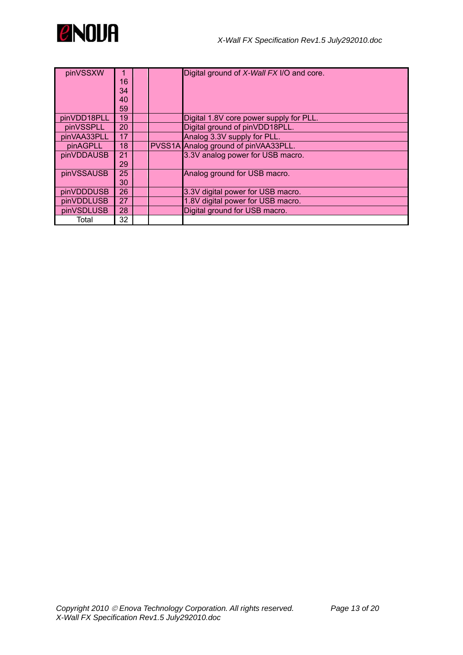

| pinVSSXW    |    |  | Digital ground of X-Wall FX I/O and core. |
|-------------|----|--|-------------------------------------------|
|             | 16 |  |                                           |
|             | 34 |  |                                           |
|             | 40 |  |                                           |
|             | 59 |  |                                           |
| pinVDD18PLL | 19 |  | Digital 1.8V core power supply for PLL.   |
| pinVSSPLL   | 20 |  | Digital ground of pinVDD18PLL.            |
| pinVAA33PLL | 17 |  | Analog 3.3V supply for PLL.               |
| pinAGPLL    | 18 |  | PVSS1A Analog ground of pinVAA33PLL.      |
| pinVDDAUSB  | 21 |  | 3.3V analog power for USB macro.          |
|             | 29 |  |                                           |
| pinVSSAUSB  | 25 |  | Analog ground for USB macro.              |
|             | 30 |  |                                           |
| pinVDDDUSB  | 26 |  | 3.3V digital power for USB macro.         |
| pinVDDLUSB  | 27 |  | 1.8V digital power for USB macro.         |
| pinVSDLUSB  | 28 |  | Digital ground for USB macro.             |
| Total       | 32 |  |                                           |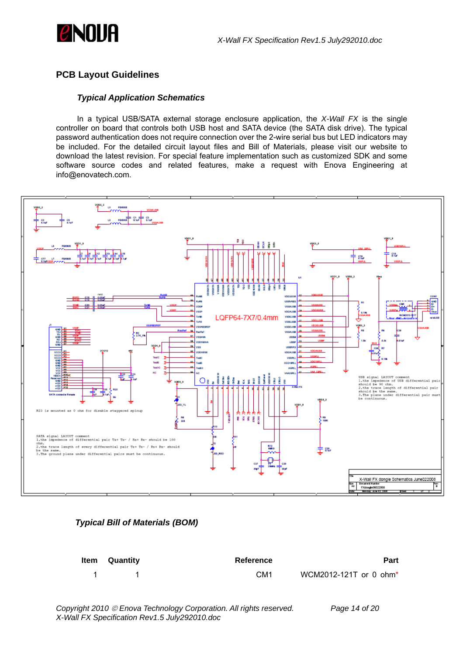<span id="page-13-0"></span>

## **PCB Layout Guidelines**

#### *Typical Application Schematics*

In a typical USB/SATA external storage enclosure application, the *X-Wall FX* is the single controller on board that controls both USB host and SATA device (the SATA disk drive). The typical password authentication does not require connection over the 2-wire serial bus but LED indicators may be included. For the detailed circuit layout files and Bill of Materials, please visit our website to download the latest revision. For special feature implementation such as customized SDK and some software source codes and related features, make a request with Enova Engineering at info@enovatech.com.



#### *Typical Bill of Materials (BOM)*

| <b>Item</b> Quantity | Reference       | <b>Part</b>                        |
|----------------------|-----------------|------------------------------------|
|                      | CM <sub>1</sub> | WCM2012-121T or 0 ohm <sup>*</sup> |

*Copyright 2010* © *Enova Technology Corporation. All rights reserved. Page 14 of 20 X-Wall FX Specification Rev1.5 July292010.doc*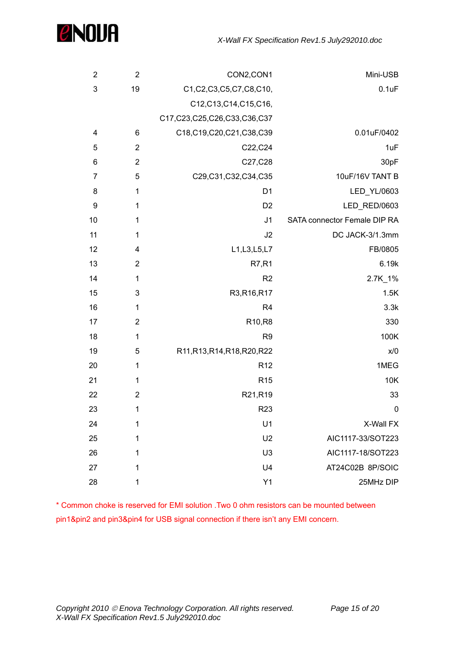

| $\overline{2}$  | $\overline{2}$  | CON2,CON1                         | Mini-USB                     |
|-----------------|-----------------|-----------------------------------|------------------------------|
| 3               | 19              | C1,C2,C3,C5,C7,C8,C10,            | 0.1uF                        |
|                 |                 | C12,C13,C14,C15,C16,              |                              |
|                 |                 | C17, C23, C25, C26, C33, C36, C37 |                              |
| 4               | $6\phantom{1}6$ | C18,C19,C20,C21,C38,C39           | 0.01uF/0402                  |
| 5               | $\overline{2}$  | C22, C24                          | 1uF                          |
| $6\phantom{1}6$ | $\overline{2}$  | C27, C28                          | 30pF                         |
| 7               | 5               | C29,C31,C32,C34,C35               | 10uF/16V TANT B              |
| 8               | 1               | D <sub>1</sub>                    | LED_YL/0603                  |
| 9               | 1               | D <sub>2</sub>                    | LED_RED/0603                 |
| 10              | 1               | J <sub>1</sub>                    | SATA connector Female DIP RA |
| 11              | 1               | J2                                | DC JACK-3/1.3mm              |
| 12              | 4               | L1, L3, L5, L7                    | FB/0805                      |
| 13              | $\overline{2}$  | <b>R7,R1</b>                      | 6.19k                        |
| 14              | $\mathbf{1}$    | R <sub>2</sub>                    | 2.7K_1%                      |
| 15              | 3               | R3,R16,R17                        | 1.5K                         |
| 16              | 1               | R <sub>4</sub>                    | 3.3k                         |
| 17              | $\overline{2}$  | R10,R8                            | 330                          |
| 18              | $\mathbf 1$     | R <sub>9</sub>                    | 100K                         |
| 19              | 5               | R11, R13, R14, R18, R20, R22      | x/0                          |
| 20              | $\mathbf 1$     | R <sub>12</sub>                   | 1MEG                         |
| 21              | $\mathbf 1$     | R <sub>15</sub>                   | 10K                          |
| 22              | $\mathbf 2$     | R21,R19                           | 33                           |
| 23              | 1               | R <sub>23</sub>                   | $\mathbf 0$                  |
| 24              | 1               | U1                                | X-Wall FX                    |
| 25              | 1               | U <sub>2</sub>                    | AIC1117-33/SOT223            |
| 26              | 1               | U <sub>3</sub>                    | AIC1117-18/SOT223            |
| 27              | 1               | U <sub>4</sub>                    | AT24C02B 8P/SOIC             |
| 28              | 1               | Y1                                | 25MHz DIP                    |

\* Common choke is reserved for EMI solution .Two 0 ohm resistors can be mounted between pin1&pin2 and pin3&pin4 for USB signal connection if there isn't any EMI concern.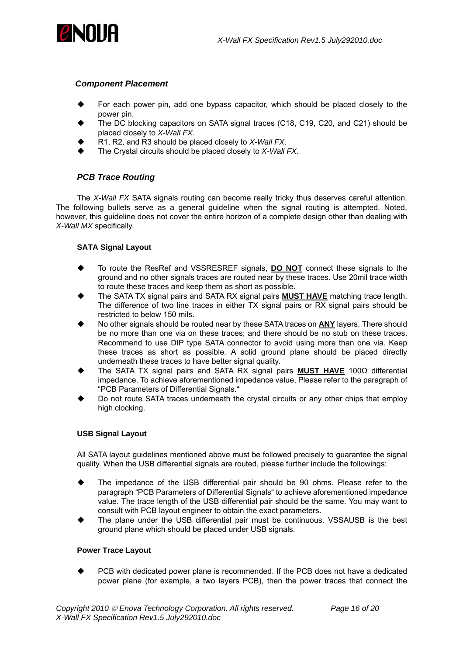<span id="page-15-0"></span>

#### *Component Placement*

- For each power pin, add one bypass capacitor, which should be placed closely to the power pin.
- The DC blocking capacitors on SATA signal traces (C18, C19, C20, and C21) should be placed closely to *X-Wall FX*.
- R1, R2, and R3 should be placed closely to *X-Wall FX*.
- The Crystal circuits should be placed closely to *X-Wall FX*.

#### *PCB Trace Routing*

The *X-Wall FX* SATA signals routing can become really tricky thus deserves careful attention. The following bullets serve as a general guideline when the signal routing is attempted. Noted, however, this guideline does not cover the entire horizon of a complete design other than dealing with *X-Wall MX* specifically.

#### **SATA Signal Layout**

- To route the ResRef and VSSRESREF signals, **DO NOT** connect these signals to the ground and no other signals traces are routed near by these traces. Use 20mil trace width to route these traces and keep them as short as possible.
- The SATA TX signal pairs and SATA RX signal pairs **MUST HAVE** matching trace length. The difference of two line traces in either TX signal pairs or RX signal pairs should be restricted to below 150 mils.
- No other signals should be routed near by these SATA traces on **ANY** layers. There should be no more than one via on these traces; and there should be no stub on these traces. Recommend to use DIP type SATA connector to avoid using more than one via. Keep these traces as short as possible. A solid ground plane should be placed directly underneath these traces to have better signal quality.
- The SATA TX signal pairs and SATA RX signal pairs **MUST HAVE** 100Ω differential impedance. To achieve aforementioned impedance value, Please refer to the paragraph of "PCB Parameters of Differential Signals."
- Do not route SATA traces underneath the crystal circuits or any other chips that employ high clocking.

#### **USB Signal Layout**

All SATA layout guidelines mentioned above must be followed precisely to guarantee the signal quality. When the USB differential signals are routed, please further include the followings:

- The impedance of the USB differential pair should be 90 ohms. Please refer to the paragraph "PCB Parameters of Differential Signals" to achieve aforementioned impedance value. The trace length of the USB differential pair should be the same. You may want to consult with PCB layout engineer to obtain the exact parameters.
- The plane under the USB differential pair must be continuous. VSSAUSB is the best ground plane which should be placed under USB signals.

#### **Power Trace Layout**

 PCB with dedicated power plane is recommended. If the PCB does not have a dedicated power plane (for example, a two layers PCB), then the power traces that connect the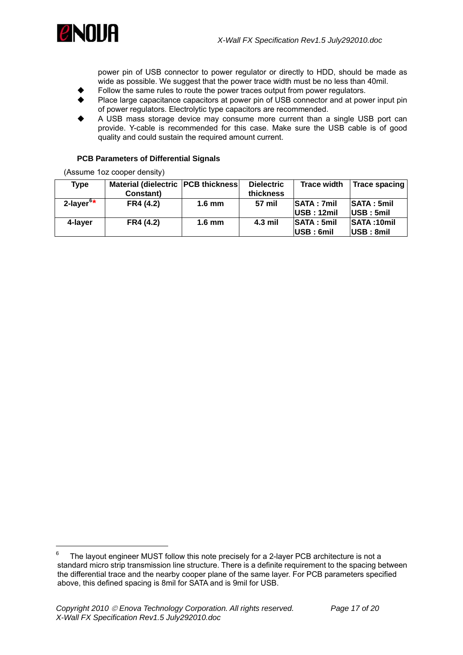<span id="page-16-0"></span>

power pin of USB connector to power regulator or directly to HDD, should be made as wide as possible. We suggest that the power trace width must be no less than 40mil.

- Follow the same rules to route the power traces output from power regulators.
- Place large capacitance capacitors at power pin of USB connector and at power input pin of power regulators. Electrolytic type capacitors are recommended.
- A USB mass storage device may consume more current than a single USB port can provide. Y-cable is recommended for this case. Make sure the USB cable is of good quality and could sustain the required amount current.

#### **PCB Parameters of Differential Signals**

(Assume 1oz cooper density)

| <b>Type</b>              | Material (dielectric   PCB thickness |                  | <b>Dielectric</b> | <b>Trace width</b>             | Trace spacing              |
|--------------------------|--------------------------------------|------------------|-------------------|--------------------------------|----------------------------|
|                          | Constant)                            |                  | thickness         |                                |                            |
| $2$ -layer <sup>6*</sup> | FR4 (4.2)                            | $1.6 \text{ mm}$ | 57 mil            | <b>SATA: 7mil</b>              | <b>SATA: 5mill</b>         |
|                          |                                      |                  |                   | <b>USE</b> : 12 <sub>mil</sub> | $ {{\sf USB}:5{\sf mil}} $ |
| 4-laver                  | FR4 (4.2)                            | $1.6 \text{ mm}$ | $4.3$ mil         | <b>SATA: 5mil</b>              | <b>SATA: 10mil</b>         |
|                          |                                      |                  |                   | USB: 6mil                      | $ {{\sf USB}:8m{\sf I}} $  |

 $\overline{a}$ 

<span id="page-16-1"></span><sup>6</sup> The layout engineer MUST follow this note precisely for a 2-layer PCB architecture is not a standard micro strip transmission line structure. There is a definite requirement to the spacing between the differential trace and the nearby cooper plane of the same layer. For PCB parameters specified above, this defined spacing is 8mil for SATA and is 9mil for USB.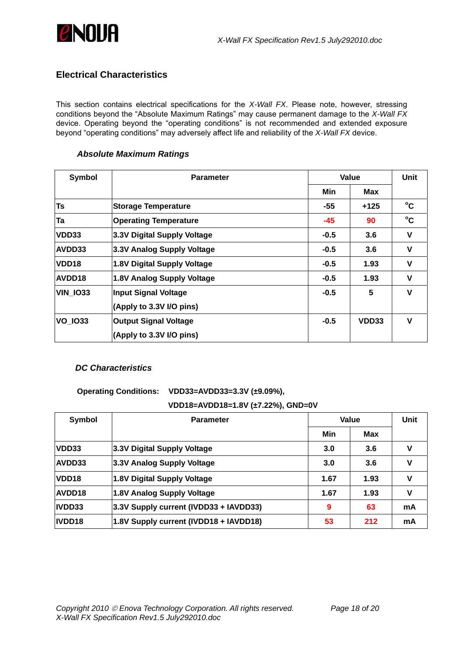<span id="page-17-0"></span>

## **Electrical Characteristics**

This section contains electrical specifications for the *X-Wall FX*. Please note, however, stressing conditions beyond the "Absolute Maximum Ratings" may cause permanent damage to the *X-Wall FX* device. Operating beyond the "operating conditions" is not recommended and extended exposure beyond "operating conditions" may adversely affect life and reliability of the *X-Wall FX* device.

#### *Absolute Maximum Ratings*

| <b>Symbol</b>   | <b>Parameter</b>             | Value  | Unit  |              |
|-----------------|------------------------------|--------|-------|--------------|
|                 |                              | Min    | Max   |              |
| Ts              | <b>Storage Temperature</b>   | -55    | +125  | $^{\circ}$ C |
| Ta              | <b>Operating Temperature</b> | -45    | 90    | $^{\circ}$ C |
| VDD33           | 3.3V Digital Supply Voltage  | $-0.5$ | 3.6   | V            |
| <b>AVDD33</b>   | 3.3V Analog Supply Voltage   | $-0.5$ | 3.6   | V            |
| VDD18           | 1.8V Digital Supply Voltage  | $-0.5$ | 1.93  | v            |
| <b>AVDD18</b>   | 1.8V Analog Supply Voltage   | $-0.5$ | 1.93  | v            |
| <b>VIN 1033</b> | <b>Input Signal Voltage</b>  | $-0.5$ | 5     | $\mathbf v$  |
|                 | (Apply to 3.3V I/O pins)     |        |       |              |
| <b>VO 1033</b>  | <b>Output Signal Voltage</b> | $-0.5$ | VDD33 | $\mathbf v$  |
|                 | (Apply to 3.3V I/O pins)     |        |       |              |

### *DC Characteristics*

**Operating Conditions: VDD33=AVDD33=3.3V (±9.09%),** 

### **VDD18=AVDD18=1.8V (±7.22%), GND=0V**

| Symbol            | <b>Parameter</b>                       | Value |      | Unit |
|-------------------|----------------------------------------|-------|------|------|
|                   |                                        | Min   | Max  |      |
| <b>VDD33</b>      | 3.3V Digital Supply Voltage            | 3.0   | 3.6  | v    |
| <b>AVDD33</b>     | 3.3V Analog Supply Voltage             | 3.0   | 3.6  | v    |
| VDD <sub>18</sub> | 1.8V Digital Supply Voltage            | 1.67  | 1.93 | v    |
| <b>AVDD18</b>     | 1.8V Analog Supply Voltage             | 1.67  | 1.93 | v    |
| IVDD33            | 3.3V Supply current (IVDD33 + IAVDD33) | 9     | 63   | mA   |
| IVDD18            | 1.8V Supply current (IVDD18 + IAVDD18) | 53    | 212  | mA   |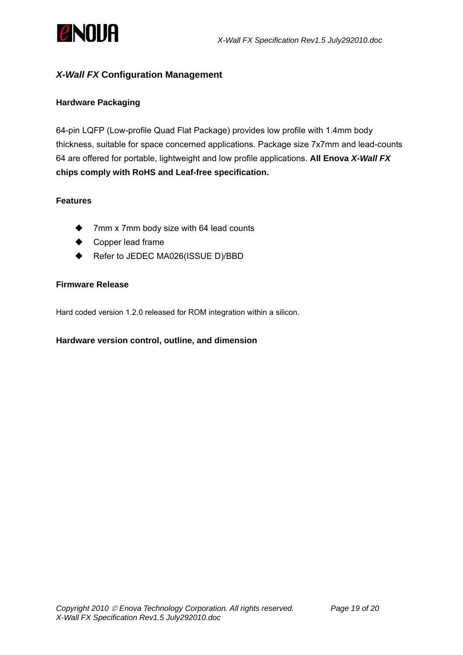<span id="page-18-0"></span>

## *X-Wall FX* **Configuration Management**

## **Hardware Packaging**

64-pin LQFP (Low-profile Quad Flat Package) provides low profile with 1.4mm body thickness, suitable for space concerned applications. Package size 7x7mm and lead-counts 64 are offered for portable, lightweight and low profile applications. **All Enova** *X-Wall FX* **chips comply with RoHS and Leaf-free specification.**

## **Features**

- 7mm x 7mm body size with 64 lead counts
- Copper lead frame
- ◆ Refer to JEDEC MA026(ISSUE D)/BBD

### **Firmware Release**

Hard coded version 1.2.0 released for ROM integration within a silicon.

### **Hardware version control, outline, and dimension**